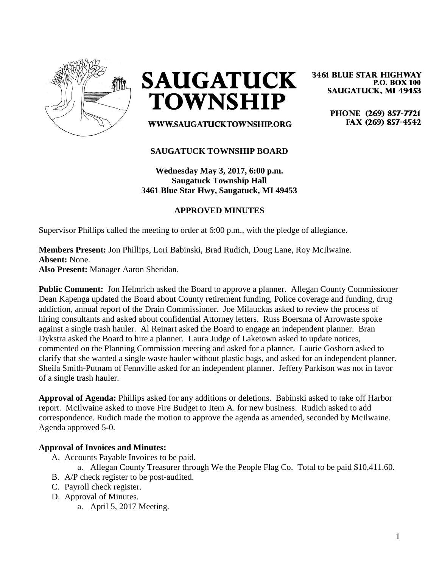

**SAUGATUCK TOWNSHIP** 

**3461 BLUE STAR HIGHWAY P.O. BOX 100 SAUGATUCK, MI 49453** 

> PHONE (269) 857-7721 FAX (269) 857-4542

WWW.SAUGATUCKTOWNSHIP.ORG

## **SAUGATUCK TOWNSHIP BOARD**

**Wednesday May 3, 2017, 6:00 p.m. Saugatuck Township Hall 3461 Blue Star Hwy, Saugatuck, MI 49453**

## **APPROVED MINUTES**

Supervisor Phillips called the meeting to order at 6:00 p.m., with the pledge of allegiance.

# **Members Present:** Jon Phillips, Lori Babinski, Brad Rudich, Doug Lane, Roy McIlwaine. **Absent:** None.

**Also Present:** Manager Aaron Sheridan.

**Public Comment:** Jon Helmrich asked the Board to approve a planner. Allegan County Commissioner Dean Kapenga updated the Board about County retirement funding, Police coverage and funding, drug addiction, annual report of the Drain Commissioner. Joe Milauckas asked to review the process of hiring consultants and asked about confidential Attorney letters. Russ Boersma of Arrowaste spoke against a single trash hauler. Al Reinart asked the Board to engage an independent planner. Bran Dykstra asked the Board to hire a planner. Laura Judge of Laketown asked to update notices, commented on the Planning Commission meeting and asked for a planner. Laurie Goshorn asked to clarify that she wanted a single waste hauler without plastic bags, and asked for an independent planner. Sheila Smith-Putnam of Fennville asked for an independent planner. Jeffery Parkison was not in favor of a single trash hauler.

**Approval of Agenda:** Phillips asked for any additions or deletions. Babinski asked to take off Harbor report. McIlwaine asked to move Fire Budget to Item A. for new business. Rudich asked to add correspondence. Rudich made the motion to approve the agenda as amended, seconded by McIlwaine. Agenda approved 5-0.

#### **Approval of Invoices and Minutes:**

- A. Accounts Payable Invoices to be paid.
	- a. Allegan County Treasurer through We the People Flag Co. Total to be paid \$10,411.60.
- B. A/P check register to be post-audited.
- C. Payroll check register.
- D. Approval of Minutes.
	- a. April 5, 2017 Meeting.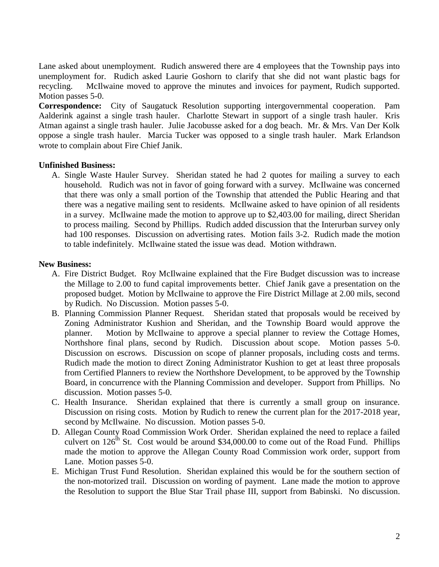Lane asked about unemployment. Rudich answered there are 4 employees that the Township pays into unemployment for. Rudich asked Laurie Goshorn to clarify that she did not want plastic bags for recycling. McIlwaine moved to approve the minutes and invoices for payment, Rudich supported. Motion passes 5-0.

**Correspondence:** City of Saugatuck Resolution supporting intergovernmental cooperation. Pam Aalderink against a single trash hauler. Charlotte Stewart in support of a single trash hauler. Kris Atman against a single trash hauler. Julie Jacobusse asked for a dog beach. Mr. & Mrs. Van Der Kolk oppose a single trash hauler. Marcia Tucker was opposed to a single trash hauler. Mark Erlandson wrote to complain about Fire Chief Janik.

## **Unfinished Business:**

A. Single Waste Hauler Survey. Sheridan stated he had 2 quotes for mailing a survey to each household. Rudich was not in favor of going forward with a survey. McIlwaine was concerned that there was only a small portion of the Township that attended the Public Hearing and that there was a negative mailing sent to residents. McIlwaine asked to have opinion of all residents in a survey. McIlwaine made the motion to approve up to \$2,403.00 for mailing, direct Sheridan to process mailing. Second by Phillips. Rudich added discussion that the Interurban survey only had 100 responses. Discussion on advertising rates. Motion fails 3-2. Rudich made the motion to table indefinitely. McIlwaine stated the issue was dead. Motion withdrawn.

### **New Business:**

- A. Fire District Budget. Roy McIlwaine explained that the Fire Budget discussion was to increase the Millage to 2.00 to fund capital improvements better. Chief Janik gave a presentation on the proposed budget. Motion by McIlwaine to approve the Fire District Millage at 2.00 mils, second by Rudich. No Discussion. Motion passes 5-0.
- B. Planning Commission Planner Request. Sheridan stated that proposals would be received by Zoning Administrator Kushion and Sheridan, and the Township Board would approve the planner. Motion by McIlwaine to approve a special planner to review the Cottage Homes, Northshore final plans, second by Rudich. Discussion about scope. Motion passes 5-0. Discussion on escrows. Discussion on scope of planner proposals, including costs and terms. Rudich made the motion to direct Zoning Administrator Kushion to get at least three proposals from Certified Planners to review the Northshore Development, to be approved by the Township Board, in concurrence with the Planning Commission and developer. Support from Phillips. No discussion. Motion passes 5-0.
- C. Health Insurance. Sheridan explained that there is currently a small group on insurance. Discussion on rising costs. Motion by Rudich to renew the current plan for the 2017-2018 year, second by McIlwaine. No discussion. Motion passes 5-0.
- D. Allegan County Road Commission Work Order. Sheridan explained the need to replace a failed culvert on  $126<sup>th</sup>$  St. Cost would be around \$34,000.00 to come out of the Road Fund. Phillips made the motion to approve the Allegan County Road Commission work order, support from Lane. Motion passes 5-0.
- E. Michigan Trust Fund Resolution. Sheridan explained this would be for the southern section of the non-motorized trail. Discussion on wording of payment. Lane made the motion to approve the Resolution to support the Blue Star Trail phase III, support from Babinski. No discussion.